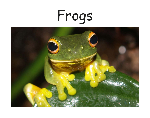## Frogs

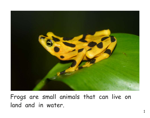

Frogs are small animals that can live on land and in water.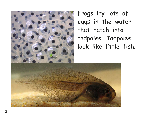

Frogs lay lots of eggs in the water that hatch into tadpoles. Tadpoles look like little fish.

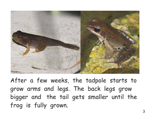

After a few weeks, the tadpole starts to grow arms and legs. The back legs grow bigger and the tail gets smaller until the frog is fully grown.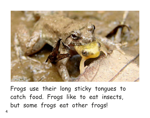

Frogs use their long sticky tongues to catch food. Frogs like to eat insects, but some frogs eat other frogs!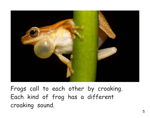

Frogs call to each other by croaking. Each kind of frog has a different croaking sound.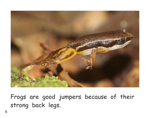

Frogs are good jumpers because of their strong back legs.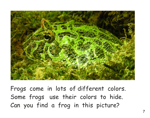

Frogs come in lots of different colors. Some frogs use their colors to hide. Can you find a frog in this picture?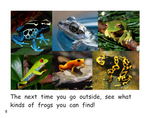

The next time you go outside, see what kinds of frogs you can find!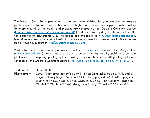The Mustard Seed Books project uses an open-source, Wikipedia-type strategy, leveraging public expertise to create and refine a set of high-quality books that support early reading development. All of the books and pictures are covered by the Creative Commons License (http://creativecommons.org/licenses/by-nc-sa/3.0/ ) and are free to print, distribute, and modify for personal or educational use. The books are available at www.mustardseedbooks.org. New titles appear on a regular basis. If you have any ideas for books or would like to leave us any feedback, contact rick@mustardseedbooks.org.

Photos for these books come primarily from Flickr (www.flickr.com) and the Morgue File (www.morguefile.com). Both sites are great resources for high-quality publicly accessible photos and for aspiring photographers looking to share their work. All photographs are covered by the Creative Commons License (http://creativecommons.org/licenses/by-nc-sa/3.0/ ).

**Text credits:** Elizabeth Kim

**Photo credits:** Cover: "rainforest harley"; page 1: Brian Gratwicke; page 2: Wikipedia; page 3: "Everything is Permuted," K.C. Hung; page 4: Wikipedia; page 5: Brian Gratwicke; page 6: Brian Gratwicke; page 7: Ed Gaillard; page 8: "Grufnik," "Graham," "teejaybee," "dotlizard," "Triestino7," "ukumari."